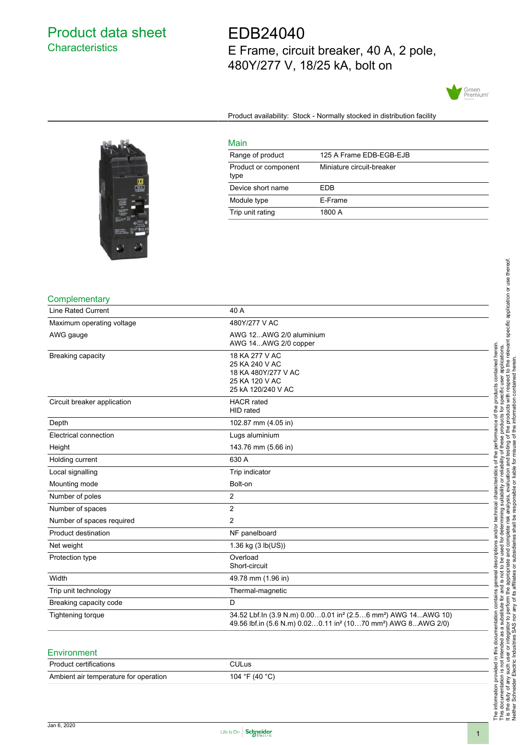# Product data sheet **Characteristics**

EDB24040 E Frame, circuit breaker, 40 A, 2 pole, 480Y/277 V, 18/25 kA, bolt on



Product availability: Stock - Normally stocked in distribution facility



| Main                         |                           |
|------------------------------|---------------------------|
| Range of product             | 125 A Frame EDB-EGB-EJB   |
| Product or component<br>type | Miniature circuit-breaker |
| Device short name            | FDB                       |
| Module type                  | E-Frame                   |
| Trip unit rating             | 1800 A                    |

#### **Complementary**

| <b>Line Rated Current</b>   | 40 A                                                                                                                                                                           |
|-----------------------------|--------------------------------------------------------------------------------------------------------------------------------------------------------------------------------|
| Maximum operating voltage   | 480Y/277 V AC                                                                                                                                                                  |
| AWG gauge                   | AWG 12AWG 2/0 aluminium<br>AWG 14AWG 2/0 copper                                                                                                                                |
| Breaking capacity           | 18 KA 277 V AC<br>25 KA 240 V AC<br>18 KA 480Y/277 V AC<br>25 KA 120 V AC<br>25 kA 120/240 V AC                                                                                |
| Circuit breaker application | <b>HACR</b> rated<br>HID rated                                                                                                                                                 |
| Depth                       | 102.87 mm (4.05 in)                                                                                                                                                            |
| Electrical connection       | Lugs aluminium                                                                                                                                                                 |
| Height                      | 143.76 mm (5.66 in)                                                                                                                                                            |
| Holding current             | 630 A                                                                                                                                                                          |
| Local signalling            | Trip indicator                                                                                                                                                                 |
| Mounting mode               | Bolt-on                                                                                                                                                                        |
| Number of poles             | 2                                                                                                                                                                              |
| Number of spaces            | 2                                                                                                                                                                              |
| Number of spaces required   | $\overline{2}$                                                                                                                                                                 |
| Product destination         | NF panelboard                                                                                                                                                                  |
| Net weight                  | 1.36 kg (3 lb(US))                                                                                                                                                             |
| Protection type             | Overload<br>Short-circuit                                                                                                                                                      |
| Width                       | 49.78 mm (1.96 in)                                                                                                                                                             |
| Trip unit technology        | Thermal-magnetic                                                                                                                                                               |
| Breaking capacity code      | D                                                                                                                                                                              |
| <b>Tightening torque</b>    | 34.52 Lbf.In (3.9 N.m) 0.000.01 in <sup>2</sup> (2.56 mm <sup>2</sup> ) AWG 14AWG 10)<br>49.56 lbf.in (5.6 N.m) 0.020.11 in <sup>2</sup> (1070 mm <sup>2</sup> ) AWG 8AWG 2/0) |
|                             |                                                                                                                                                                                |

### Environment

| <b>Product certifications</b>         | ∵ิULus               |
|---------------------------------------|----------------------|
| Ambient air temperature for operation | 104 °F (40 °C)<br>ັບ |